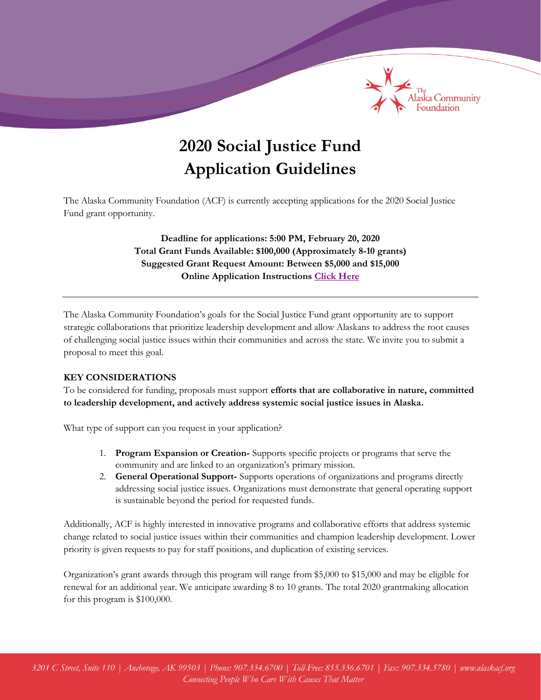

# **2020 Social Justice Fund Application Guidelines**

The Alaska Community Foundation (ACF) is currently accepting applications for the 2020 Social Justice Fund grant opportunity.

> **Deadline for applications: 5:00 PM, February 20, 2020 Total Grant Funds Available: \$100,000 (Approximately 8-10 grants) Suggested Grant Request Amount: Between \$5,000 and \$15,000 Online Application Instructions [Click Here](http://alaskacf.org/grant-application-tutorial)**

The Alaska Community Foundation's goals for the Social Justice Fund grant opportunity are to support strategic collaborations that prioritize leadership development and allow Alaskans to address the root causes of challenging social justice issues within their communities and across the state. We invite you to submit a proposal to meet this goal.

## **KEY CONSIDERATIONS**

To be considered for funding, proposals must support **efforts that are collaborative in nature, committed to leadership development, and actively address systemic social justice issues in Alaska.**

What type of support can you request in your application?

- 1. **Program Expansion or Creation-** Supports specific projects or programs that serve the community and are linked to an organization's primary mission.
- 2. **General Operational Support-** Supports operations of organizations and programs directly addressing social justice issues. Organizations must demonstrate that general operating support is sustainable beyond the period for requested funds.

Additionally, ACF is highly interested in innovative programs and collaborative efforts that address systemic change related to social justice issues within their communities and champion leadership development. Lower priority is given requests to pay for staff positions, and duplication of existing services.

Organization's grant awards through this program will range from \$5,000 to \$15,000 and may be eligible for renewal for an additional year. We anticipate awarding 8 to 10 grants. The total 2020 grantmaking allocation for this program is \$100,000.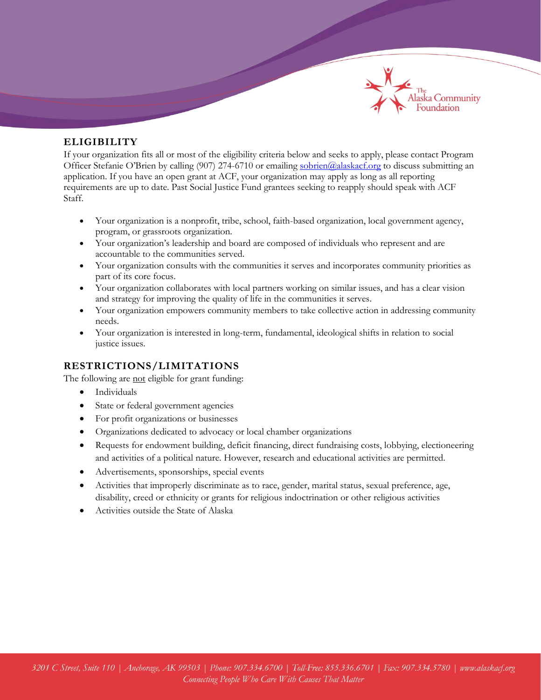

## **ELIGIBILITY**

If your organization fits all or most of the eligibility criteria below and seeks to apply, please contact Program Officer Stefanie O'Brien by calling (907) 274-6710 or emailing [sobrien@alaskacf.org](mailto:sobrien@alaskacf.org) to discuss submitting an application. If you have an open grant at ACF, your organization may apply as long as all reporting requirements are up to date. Past Social Justice Fund grantees seeking to reapply should speak with ACF Staff.

- Your organization is a nonprofit, tribe, school, faith-based organization, local government agency, program, or grassroots organization.
- Your organization's leadership and board are composed of individuals who represent and are accountable to the communities served.
- Your organization consults with the communities it serves and incorporates community priorities as part of its core focus.
- Your organization collaborates with local partners working on similar issues, and has a clear vision and strategy for improving the quality of life in the communities it serves.
- Your organization empowers community members to take collective action in addressing community needs.
- Your organization is interested in long-term, fundamental, ideological shifts in relation to social justice issues.

# **RESTRICTIONS/LIMITATIONS**

The following are not eligible for grant funding:

- Individuals
- State or federal government agencies
- For profit organizations or businesses
- Organizations dedicated to advocacy or local chamber organizations
- Requests for endowment building, deficit financing, direct fundraising costs, lobbying, electioneering and activities of a political nature. However, research and educational activities are permitted.
- Advertisements, sponsorships, special events
- Activities that improperly discriminate as to race, gender, marital status, sexual preference, age, disability, creed or ethnicity or grants for religious indoctrination or other religious activities
- Activities outside the State of Alaska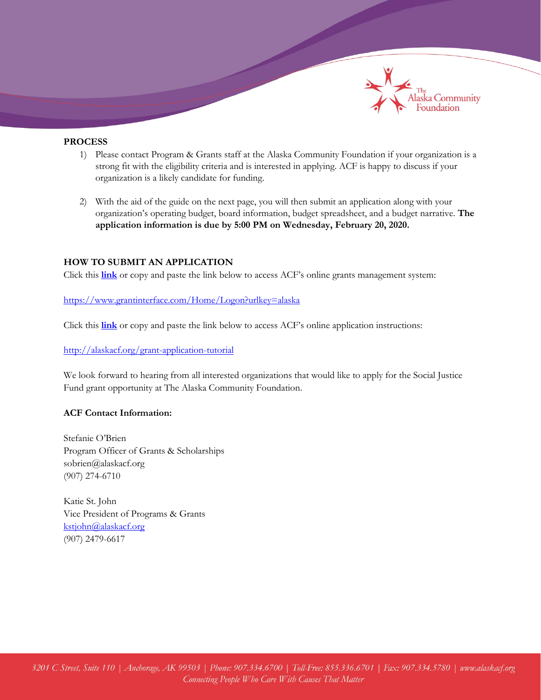

## **PROCESS**

- 1) Please contact Program & Grants staff at the Alaska Community Foundation if your organization is a strong fit with the eligibility criteria and is interested in applying. ACF is happy to discuss if your organization is a likely candidate for funding.
- 2) With the aid of the guide on the next page, you will then submit an application along with your organization's operating budget, board information, budget spreadsheet, and a budget narrative. **The application information is due by 5:00 PM on Wednesday, February 20, 2020.**

### **HOW TO SUBMIT AN APPLICATION**

Click this **[link](https://www.grantinterface.com/Home/Logon?urlkey=alaska)** or copy and paste the link below to access ACF's online grants management system:

<https://www.grantinterface.com/Home/Logon?urlkey=alaska>

Click this **[link](http://alaskacf.org/grant-application-tutorial)** or copy and paste the link below to access ACF's online application instructions:

<http://alaskacf.org/grant-application-tutorial>

We look forward to hearing from all interested organizations that would like to apply for the Social Justice Fund grant opportunity at The Alaska Community Foundation.

#### **ACF Contact Information:**

Stefanie O'Brien Program Officer of Grants & Scholarships sobrien@alaskacf.org (907) 274-6710

Katie St. John Vice President of Programs & Grants [kstjohn@alaskacf.org](mailto:kstjohn@alaskacf.org) (907) 2479-6617